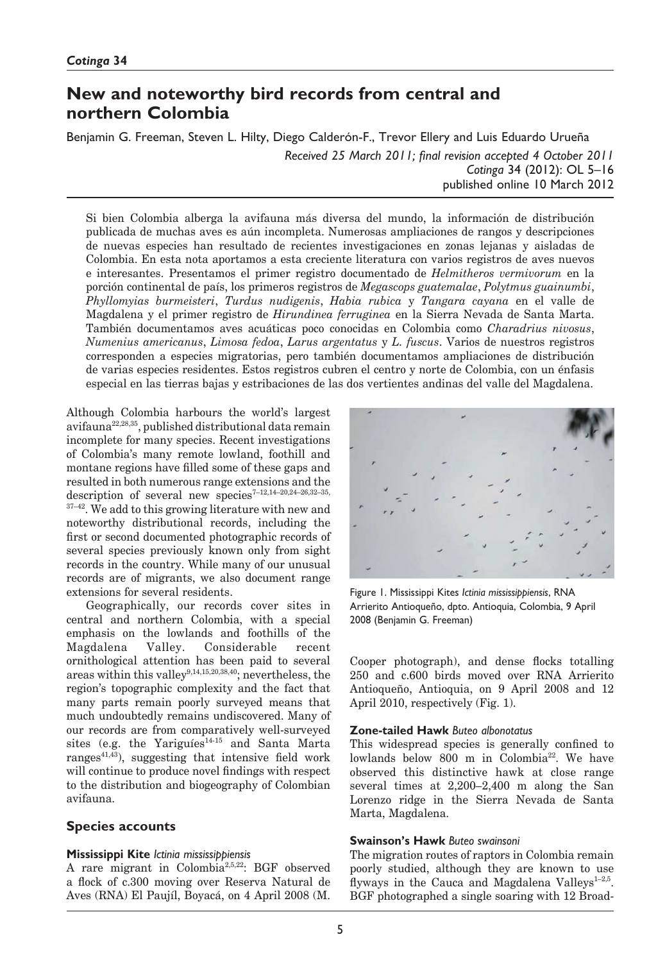# **New and noteworthy bird records from central and northern Colombia**

Benjamin G. Freeman, Steven L. Hilty, Diego Calderón-F., Trevor Ellery and Luis Eduardo Urueña

*Received 25 March 2011; final revision accepted 4 October 2011 Cotinga* 34 (2012): OL 5–16 published online 10 March 2012

Si bien Colombia alberga la avifauna más diversa del mundo, la información de distribución publicada de muchas aves es aún incompleta. Numerosas ampliaciones de rangos y descripciones de nuevas especies han resultado de recientes investigaciones en zonas lejanas y aisladas de Colombia. En esta nota aportamos a esta creciente literatura con varios registros de aves nuevos e interesantes. Presentamos el primer registro documentado de *Helmitheros vermivorum* en la porción continental de país, los primeros registros de *Megascops guatemalae*, *Polytmus guainumbi*, *Phyllomyias burmeisteri*, *Turdus nudigenis*, *Habia rubica* y *Tangara cayana* en el valle de Magdalena y el primer registro de *Hirundinea ferruginea* en la Sierra Nevada de Santa Marta. También documentamos aves acuáticas poco conocidas en Colombia como *Charadrius nivosus*, *Numenius americanus*, *Limosa fedoa*, *Larus argentatus* y *L. fuscus*. Varios de nuestros registros corresponden a especies migratorias, pero también documentamos ampliaciones de distribución de varias especies residentes. Estos registros cubren el centro y norte de Colombia, con un énfasis especial en las tierras bajas y estribaciones de las dos vertientes andinas del valle del Magdalena.

Although Colombia harbours the world's largest avifauna22,28,35, published distributional data remain incomplete for many species. Recent investigations of Colombia's many remote lowland, foothill and montane regions have filled some of these gaps and resulted in both numerous range extensions and the description of several new species<sup>7-12,14-20,24-26,32-35,</sup>  $37-42$ . We add to this growing literature with new and noteworthy distributional records, including the first or second documented photographic records of several species previously known only from sight records in the country. While many of our unusual records are of migrants, we also document range extensions for several residents.

Geographically, our records cover sites in central and northern Colombia, with a special emphasis on the lowlands and foothills of the Magdalena Valley. Considerable recent ornithological attention has been paid to several areas within this valley<sup>9,14,15,20,38,40</sup>; nevertheless, the region's topographic complexity and the fact that many parts remain poorly surveyed means that much undoubtedly remains undiscovered. Many of our records are from comparatively well-surveyed sites (e.g. the Yariguíes<sup>14-15</sup> and Santa Marta ranges $41,43$ ), suggesting that intensive field work will continue to produce novel findings with respect to the distribution and biogeography of Colombian avifauna.

# **Species accounts**

#### **Mississippi Kite** *Ictinia mississippiensis*

A rare migrant in Colombia2,5,22: BGF observed a flock of c.300 moving over Reserva Natural de Aves (RNA) El Paujíl, Boyacá, on 4 April 2008 (M.



Figure 1. Mississippi Kites *Ictinia mississippiensis*, RNA Arrierito Antioqueño, dpto. Antioquia, Colombia, 9 April 2008 (Benjamin G. Freeman)

Cooper photograph), and dense flocks totalling 250 and c.600 birds moved over RNA Arrierito Antioqueño, Antioquia, on 9 April 2008 and 12 April 2010, respectively (Fig. 1).

# **Zone-tailed Hawk** *Buteo albonotatus*

This widespread species is generally confined to lowlands below 800 m in Colombia<sup>22</sup>. We have observed this distinctive hawk at close range several times at 2,200–2,400 m along the San Lorenzo ridge in the Sierra Nevada de Santa Marta, Magdalena.

# **Swainson's Hawk** *Buteo swainsoni*

The migration routes of raptors in Colombia remain poorly studied, although they are known to use flyways in the Cauca and Magdalena Valleys $1-2,5$ . BGF photographed a single soaring with 12 Broad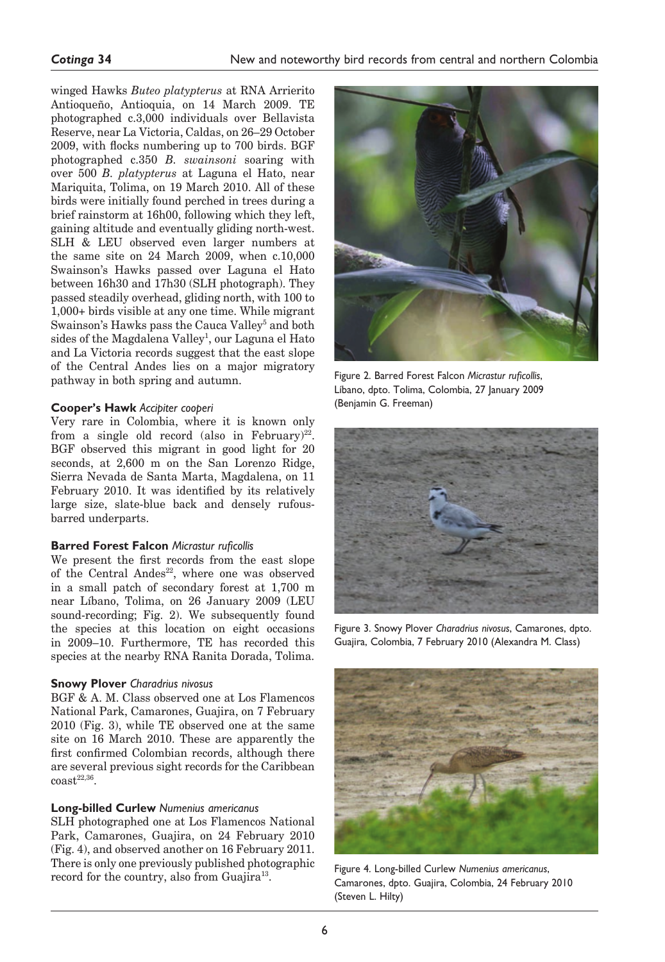winged Hawks *Buteo platypterus* at RNA Arrierito Antioqueño, Antioquia, on 14 March 2009. TE photographed c.3,000 individuals over Bellavista Reserve, near La Victoria, Caldas, on 26–29 October 2009, with flocks numbering up to 700 birds. BGF photographed c.350 *B. swainsoni* soaring with over 500 *B. platypterus* at Laguna el Hato, near Mariquita, Tolima, on 19 March 2010. All of these birds were initially found perched in trees during a brief rainstorm at 16h00, following which they left, gaining altitude and eventually gliding north-west. SLH & LEU observed even larger numbers at the same site on 24 March 2009, when c.10,000 Swainson's Hawks passed over Laguna el Hato between 16h30 and 17h30 (SLH photograph). They passed steadily overhead, gliding north, with 100 to 1,000+ birds visible at any one time. While migrant Swainson's Hawks pass the Cauca Valley<sup>5</sup> and both sides of the Magdalena Valley<sup>1</sup>, our Laguna el Hato and La Victoria records suggest that the east slope of the Central Andes lies on a major migratory pathway in both spring and autumn.

# **Cooper's Hawk** *Accipiter cooperi*

Very rare in Colombia, where it is known only from a single old record (also in February)<sup>22</sup>. BGF observed this migrant in good light for 20 seconds, at 2,600 m on the San Lorenzo Ridge, Sierra Nevada de Santa Marta, Magdalena, on 11 February 2010. It was identified by its relatively large size, slate-blue back and densely rufousbarred underparts.

#### **Barred Forest Falcon** *Micrastur ruficollis*

We present the first records from the east slope of the Central Andes<sup>22</sup>, where one was observed in a small patch of secondary forest at 1,700 m near Líbano, Tolima, on 26 January 2009 (LEU sound-recording; Fig. 2). We subsequently found the species at this location on eight occasions in 2009–10. Furthermore, TE has recorded this species at the nearby RNA Ranita Dorada, Tolima.

# **Snowy Plover** *Charadrius nivosus*

BGF & A. M. Class observed one at Los Flamencos National Park, Camarones, Guajira, on 7 February 2010 (Fig. 3), while TE observed one at the same site on 16 March 2010. These are apparently the first confirmed Colombian records, although there are several previous sight records for the Caribbean  $\text{const}^{22,36}$ .

#### **Long-billed Curlew** *Numenius americanus*

SLH photographed one at Los Flamencos National Park, Camarones, Guajira, on 24 February 2010 (Fig. 4), and observed another on 16 February 2011. There is only one previously published photographic record for the country, also from Guajira<sup>13</sup>.



Figure 2. Barred Forest Falcon *Micrastur ruficollis*, Líbano, dpto. Tolima, Colombia, 27 January 2009 (Benjamin G. Freeman)



Figure 3. Snowy Plover *Charadrius nivosus*, Camarones, dpto. Guajira, Colombia, 7 February 2010 (Alexandra M. Class)



Figure 4. Long-billed Curlew *Numenius americanus*, Camarones, dpto. Guajira, Colombia, 24 February 2010 (Steven L. Hilty)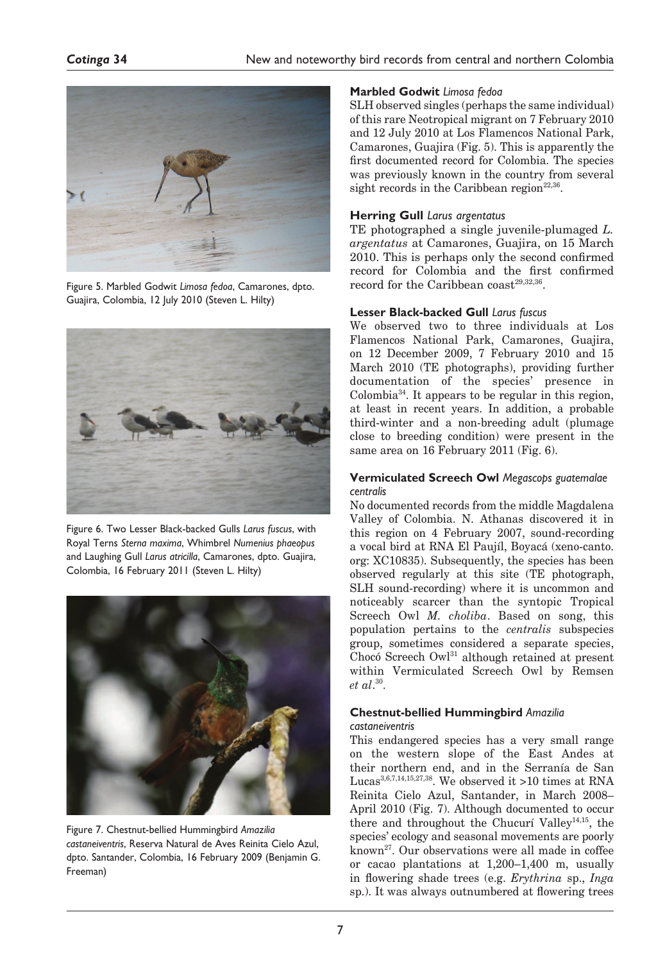

Figure 5. Marbled Godwit *Limosa fedoa*, Camarones, dpto. Guajira, Colombia, 12 July 2010 (Steven L. Hilty)



Figure 6. Two Lesser Black-backed Gulls *Larus fuscus*, with Royal Terns *Sterna maxima*, Whimbrel *Numenius phaeopus*  and Laughing Gull *Larus atricilla*, Camarones, dpto. Guajira, Colombia, 16 February 2011 (Steven L. Hilty)



Figure 7. Chestnut-bellied Hummingbird *Amazilia castaneiventris*, Reserva Natural de Aves Reinita Cielo Azul, dpto. Santander, Colombia, 16 February 2009 (Benjamin G. Freeman)

# **Marbled Godwit** *Limosa fedoa*

SLH observed singles (perhaps the same individual) of this rare Neotropical migrant on 7 February 2010 and 12 July 2010 at Los Flamencos National Park, Camarones, Guajira (Fig. 5). This is apparently the first documented record for Colombia. The species was previously known in the country from several sight records in the Caribbean region<sup>22,36</sup>.

# **Herring Gull** *Larus argentatus*

TE photographed a single juvenile-plumaged *L. argentatus* at Camarones, Guajira, on 15 March 2010. This is perhaps only the second confirmed record for Colombia and the first confirmed record for the Caribbean coast<sup>29,32,36</sup>.

# **Lesser Black-backed Gull** *Larus fuscus*

We observed two to three individuals at Los Flamencos National Park, Camarones, Guajira, on 12 December 2009, 7 February 2010 and 15 March 2010 (TE photographs), providing further documentation of the species' presence in  $Colombia<sup>34</sup>$ . It appears to be regular in this region, at least in recent years. In addition, a probable third-winter and a non-breeding adult (plumage close to breeding condition) were present in the same area on 16 February 2011 (Fig. 6).

# **Vermiculated Screech Owl** *Megascops guatemalae centralis*

No documented records from the middle Magdalena Valley of Colombia. N. Athanas discovered it in this region on 4 February 2007, sound-recording a vocal bird at RNA El Paujíl, Boyacá (xeno-canto. org: XC10835). Subsequently, the species has been observed regularly at this site (TE photograph, SLH sound-recording) where it is uncommon and noticeably scarcer than the syntopic Tropical Screech Owl *M. choliba*. Based on song, this population pertains to the *centralis* subspecies group, sometimes considered a separate species, Chocó Screech Owl31 although retained at present within Vermiculated Screech Owl by Remsen *et al*. 30.

#### **Chestnut-bellied Hummingbird** *Amazilia castaneiventris*

This endangered species has a very small range on the western slope of the East Andes at their northern end, and in the Serranía de San Lucas<sup>3,6,7,14,15,27,38</sup>. We observed it >10 times at RNA Reinita Cielo Azul, Santander, in March 2008– April 2010 (Fig. 7). Although documented to occur there and throughout the Chucurí Valley<sup>14,15</sup>, the species' ecology and seasonal movements are poorly known27. Our observations were all made in coffee or cacao plantations at 1,200–1,400 m, usually in flowering shade trees (e.g. *Erythrina* sp., *Inga*  sp.). It was always outnumbered at flowering trees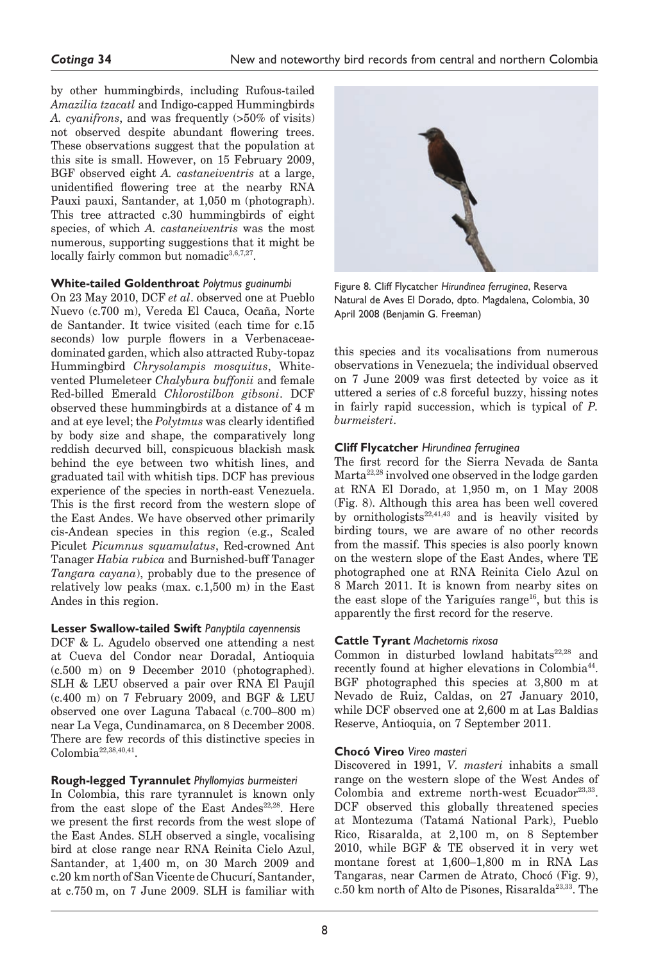by other hummingbirds, including Rufous-tailed *Amazilia tzacatl* and Indigo-capped Hummingbirds *A. cyanifrons*, and was frequently (>50% of visits) not observed despite abundant flowering trees. These observations suggest that the population at this site is small. However, on 15 February 2009, BGF observed eight *A. castaneiventris* at a large, unidentified flowering tree at the nearby RNA Pauxi pauxi, Santander, at 1,050 m (photograph). This tree attracted c.30 hummingbirds of eight species, of which *A. castaneiventris* was the most numerous, supporting suggestions that it might be locally fairly common but nomadic $3,6,7,27$ .

# **White-tailed Goldenthroat** *Polytmus guainumbi*

On 23 May 2010, DCF *et al*. observed one at Pueblo Nuevo (c.700 m), Vereda El Cauca, Ocaña, Norte de Santander. It twice visited (each time for c.15 seconds) low purple flowers in a Verbenaceaedominated garden, which also attracted Ruby-topaz Hummingbird *Chrysolampis mosquitus*, Whitevented Plumeleteer *Chalybura buffonii* and female Red-billed Emerald *Chlorostilbon gibsoni*. DCF observed these hummingbirds at a distance of 4 m and at eye level; the *Polytmus* was clearly identified by body size and shape, the comparatively long reddish decurved bill, conspicuous blackish mask behind the eye between two whitish lines, and graduated tail with whitish tips. DCF has previous experience of the species in north-east Venezuela. This is the first record from the western slope of the East Andes. We have observed other primarily cis-Andean species in this region (e.g., Scaled Piculet *Picumnus squamulatus*, Red-crowned Ant Tanager *Habia rubica* and Burnished-buff Tanager *Tangara cayana*), probably due to the presence of relatively low peaks (max. c.1,500 m) in the East Andes in this region.

# **Lesser Swallow-tailed Swift** *Panyptila cayennensis*

DCF & L. Agudelo observed one attending a nest at Cueva del Condor near Doradal, Antioquia (c.500 m) on 9 December 2010 (photographed). SLH & LEU observed a pair over RNA El Paujíl  $(c.400 \text{ m})$  on 7 February 2009, and BGF & LEU observed one over Laguna Tabacal (c.700–800 m) near La Vega, Cundinamarca, on 8 December 2008. There are few records of this distinctive species in  $Colombia<sup>22,38,40,41</sup>$ .

# **Rough-legged Tyrannulet** *Phyllomyias burmeisteri*

In Colombia, this rare tyrannulet is known only from the east slope of the East Andes<sup>22,28</sup>. Here we present the first records from the west slope of the East Andes. SLH observed a single, vocalising bird at close range near RNA Reinita Cielo Azul, Santander, at 1,400 m, on 30 March 2009 and c.20 km north of San Vicente de Chucurí, Santander, at c.750 m, on 7 June 2009. SLH is familiar with



Figure 8. Cliff Flycatcher *Hirundinea ferruginea*, Reserva Natural de Aves El Dorado, dpto. Magdalena, Colombia, 30 April 2008 (Benjamin G. Freeman)

this species and its vocalisations from numerous observations in Venezuela; the individual observed on 7 June 2009 was first detected by voice as it uttered a series of c.8 forceful buzzy, hissing notes in fairly rapid succession, which is typical of *P. burmeisteri*.

#### **Cliff Flycatcher** *Hirundinea ferruginea*

The first record for the Sierra Nevada de Santa Marta<sup>22,28</sup> involved one observed in the lodge garden at RNA El Dorado, at 1,950 m, on 1 May 2008 (Fig. 8). Although this area has been well covered by ornithologists<sup>22,41,43</sup> and is heavily visited by birding tours, we are aware of no other records from the massif. This species is also poorly known on the western slope of the East Andes, where TE photographed one at RNA Reinita Cielo Azul on 8 March 2011. It is known from nearby sites on the east slope of the Yariguíes range<sup>16</sup>, but this is apparently the first record for the reserve.

#### **Cattle Tyrant** *Machetornis rixosa*

Common in disturbed lowland habitats $22,28$  and recently found at higher elevations in Colombia<sup>44</sup>. BGF photographed this species at 3,800 m at Nevado de Ruiz, Caldas, on 27 January 2010, while DCF observed one at 2,600 m at Las Baldias Reserve, Antioquia, on 7 September 2011.

#### **Chocó Vireo** *Vireo masteri*

Discovered in 1991, *V. masteri* inhabits a small range on the western slope of the West Andes of Colombia and extreme north-west Ecuador $23,33$ . DCF observed this globally threatened species at Montezuma (Tatamá National Park), Pueblo Rico, Risaralda, at 2,100 m, on 8 September 2010, while BGF & TE observed it in very wet montane forest at 1,600–1,800 m in RNA Las Tangaras, near Carmen de Atrato, Chocó (Fig. 9), c.50 km north of Alto de Pisones, Risaralda<sup>23,33</sup>. The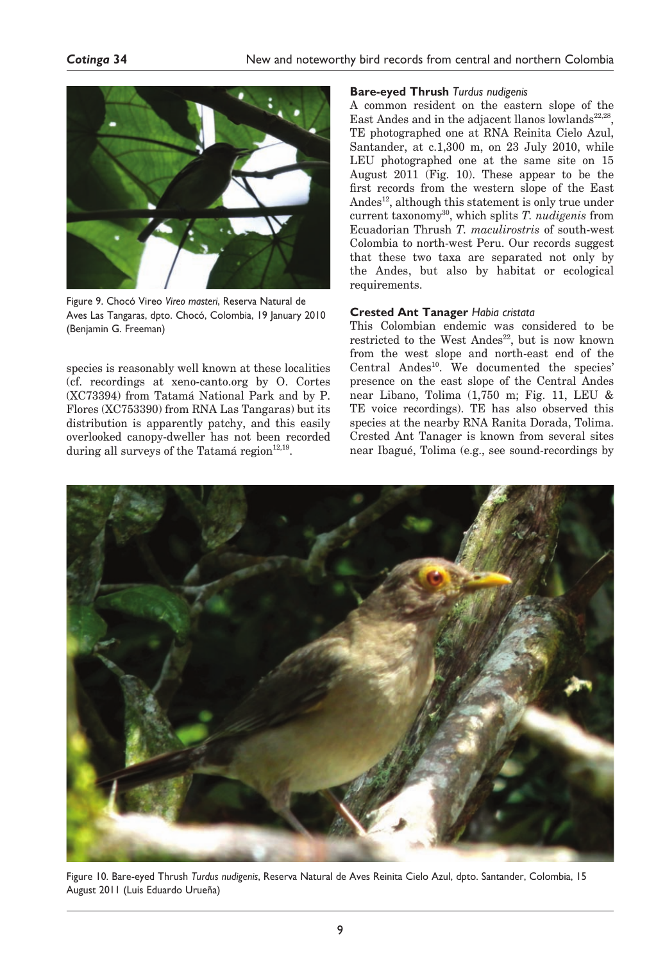

Figure 9. Chocó Vireo *Vireo masteri*, Reserva Natural de Aves Las Tangaras, dpto. Chocó, Colombia, 19 January 2010 (Benjamin G. Freeman)

species is reasonably well known at these localities (cf. recordings at xeno-canto.org by O. Cortes (XC73394) from Tatamá National Park and by P. Flores (XC753390) from RNA Las Tangaras) but its distribution is apparently patchy, and this easily overlooked canopy-dweller has not been recorded during all surveys of the Tatamá region<sup>12,19</sup>.

# **Bare-eyed Thrush** *Turdus nudigenis*

A common resident on the eastern slope of the East Andes and in the adjacent llanos lowlands $22,28$ , TE photographed one at RNA Reinita Cielo Azul, Santander, at c.1,300 m, on 23 July 2010, while LEU photographed one at the same site on 15 August 2011 (Fig. 10). These appear to be the first records from the western slope of the East Andes<sup>12</sup>, although this statement is only true under current taxonomy30, which splits *T. nudigenis* from Ecuadorian Thrush *T. maculirostris* of south-west Colombia to north-west Peru. Our records suggest that these two taxa are separated not only by the Andes, but also by habitat or ecological requirements.

# **Crested Ant Tanager** *Habia cristata*

This Colombian endemic was considered to be restricted to the West Andes<sup>22</sup>, but is now known from the west slope and north-east end of the Central Andes<sup>10</sup>. We documented the species' presence on the east slope of the Central Andes near Libano, Tolima (1,750 m; Fig. 11, LEU & TE voice recordings). TE has also observed this species at the nearby RNA Ranita Dorada, Tolima. Crested Ant Tanager is known from several sites near Ibagué, Tolima (e.g., see sound-recordings by



Figure 10. Bare-eyed Thrush *Turdus nudigenis*, Reserva Natural de Aves Reinita Cielo Azul, dpto. Santander, Colombia, 15 August 2011 (Luis Eduardo Urueña)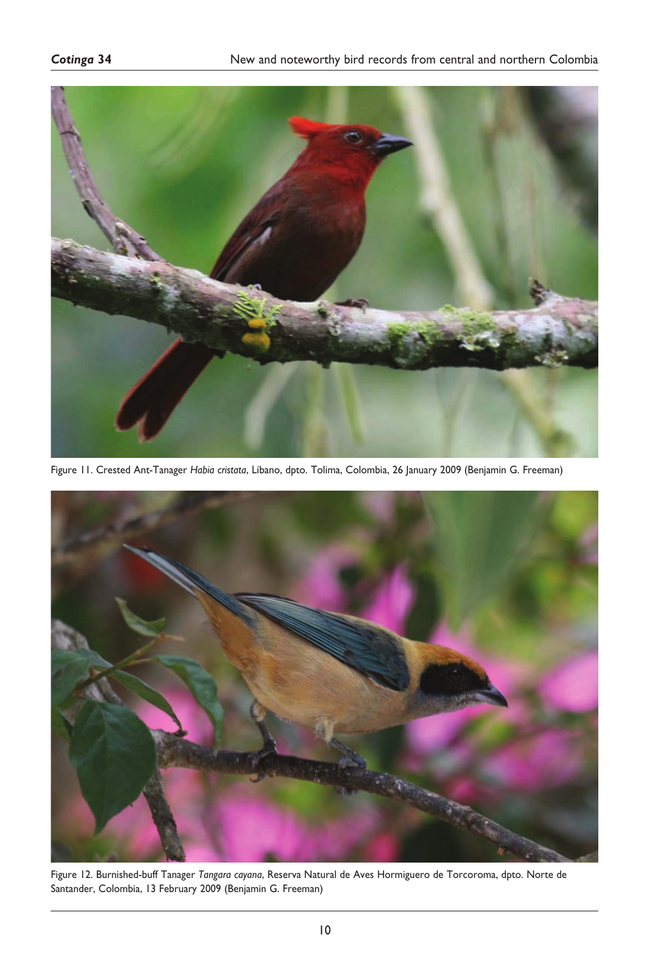

Figure 11. Crested Ant-Tanager *Habia cristata*, Líbano, dpto. Tolima, Colombia, 26 January 2009 (Benjamin G. Freeman)



Figure 12. Burnished-buff Tanager *Tangara cayana*, Reserva Natural de Aves Hormiguero de Torcoroma, dpto. Norte de Santander, Colombia, 13 February 2009 (Benjamin G. Freeman)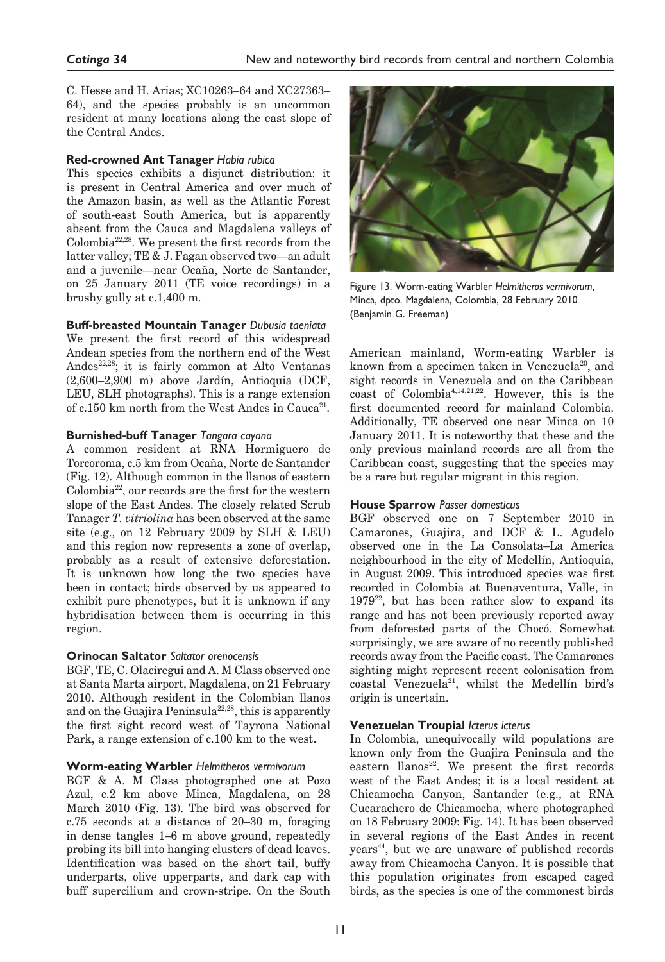C. Hesse and H. Arias; XC10263–64 and XC27363– 64), and the species probably is an uncommon resident at many locations along the east slope of the Central Andes.

# **Red-crowned Ant Tanager** *Habia rubica*

This species exhibits a disjunct distribution: it is present in Central America and over much of the Amazon basin, as well as the Atlantic Forest of south-east South America, but is apparently absent from the Cauca and Magdalena valleys of Colombia22,28. We present the first records from the latter valley; TE & J. Fagan observed two—an adult and a juvenile—near Ocaña, Norte de Santander, on 25 January 2011 (TE voice recordings) in a brushy gully at c.1,400 m.

# **Buff-breasted Mountain Tanager** *Dubusia taeniata*

We present the first record of this widespread Andean species from the northern end of the West Andes<sup>22,28</sup>; it is fairly common at Alto Ventanas (2,600–2,900 m) above Jardín, Antioquia (DCF, LEU, SLH photographs). This is a range extension of c.150 km north from the West Andes in  $Canca^{21}$ .

#### **Burnished-buff Tanager** *Tangara cayana*

A common resident at RNA Hormiguero de Torcoroma, c.5 km from Ocaña, Norte de Santander (Fig. 12). Although common in the llanos of eastern Colombia22, our records are the first for the western slope of the East Andes. The closely related Scrub Tanager *T. vitriolina* has been observed at the same site (e.g., on 12 February 2009 by SLH & LEU) and this region now represents a zone of overlap, probably as a result of extensive deforestation. It is unknown how long the two species have been in contact; birds observed by us appeared to exhibit pure phenotypes, but it is unknown if any hybridisation between them is occurring in this region.

# **Orinocan Saltator** *Saltator orenocensis*

BGF, TE, C. Olaciregui and A. M Class observed one at Santa Marta airport, Magdalena, on 21 February 2010. Although resident in the Colombian llanos and on the Guajira Peninsula<sup>22,28</sup>, this is apparently the first sight record west of Tayrona National Park, a range extension of c.100 km to the west.

# **Worm-eating Warbler** *Helmitheros vermivorum*

BGF & A. M Class photographed one at Pozo Azul, c.2 km above Minca, Magdalena, on 28 March 2010 (Fig. 13). The bird was observed for c.75 seconds at a distance of 20–30 m, foraging in dense tangles 1–6 m above ground, repeatedly probing its bill into hanging clusters of dead leaves. Identification was based on the short tail, buffy underparts, olive upperparts, and dark cap with buff supercilium and crown-stripe. On the South



Figure 13. Worm-eating Warbler *Helmitheros vermivorum*, Minca, dpto. Magdalena, Colombia, 28 February 2010 (Benjamin G. Freeman)

American mainland, Worm-eating Warbler is known from a specimen taken in Venezuela<sup>20</sup>, and sight records in Venezuela and on the Caribbean coast of Colombia4,14,21,22. However, this is the first documented record for mainland Colombia. Additionally, TE observed one near Minca on 10 January 2011. It is noteworthy that these and the only previous mainland records are all from the Caribbean coast, suggesting that the species may be a rare but regular migrant in this region.

#### **House Sparrow** *Passer domesticus*

BGF observed one on 7 September 2010 in Camarones, Guajira, and DCF & L. Agudelo observed one in the La Consolata–La America neighbourhood in the city of Medellín, Antioquia, in August 2009. This introduced species was first recorded in Colombia at Buenaventura, Valle, in  $1979^{22}$ , but has been rather slow to expand its range and has not been previously reported away from deforested parts of the Chocó. Somewhat surprisingly, we are aware of no recently published records away from the Pacific coast. The Camarones sighting might represent recent colonisation from coastal Venezuela<sup>21</sup>, whilst the Medellín bird's origin is uncertain.

# **Venezuelan Troupial** *Icterus icterus*

In Colombia, unequivocally wild populations are known only from the Guajira Peninsula and the eastern llanos<sup>22</sup>. We present the first records west of the East Andes; it is a local resident at Chicamocha Canyon, Santander (e.g., at RNA Cucarachero de Chicamocha, where photographed on 18 February 2009: Fig. 14). It has been observed in several regions of the East Andes in recent years44, but we are unaware of published records away from Chicamocha Canyon. It is possible that this population originates from escaped caged birds, as the species is one of the commonest birds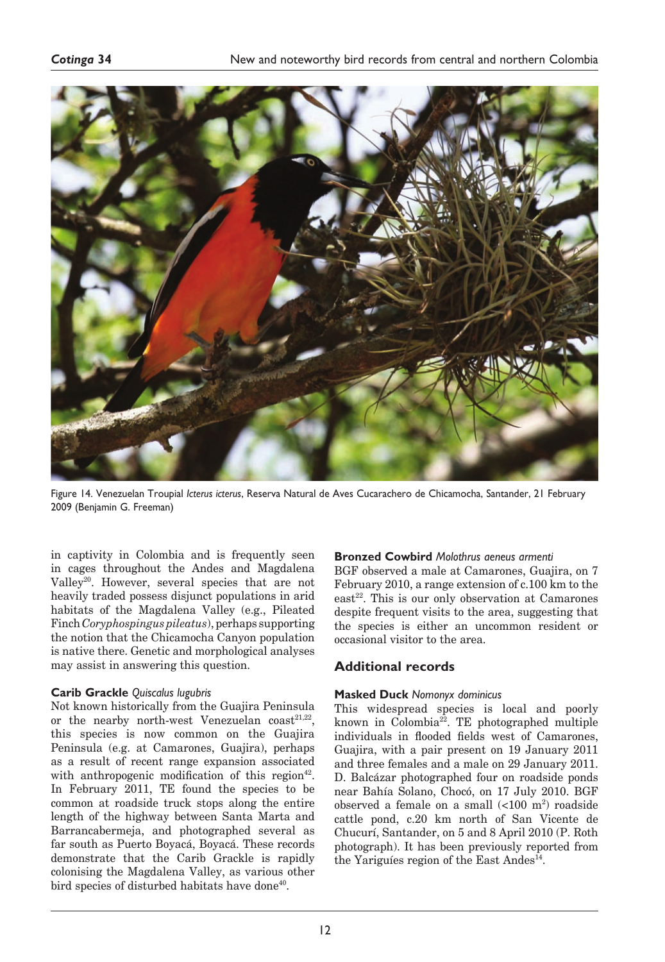

Figure 14. Venezuelan Troupial *Icterus icterus*, Reserva Natural de Aves Cucarachero de Chicamocha, Santander, 21 February 2009 (Benjamin G. Freeman)

in captivity in Colombia and is frequently seen in cages throughout the Andes and Magdalena Valley<sup>20</sup>. However, several species that are not heavily traded possess disjunct populations in arid habitats of the Magdalena Valley (e.g., Pileated Finch *Coryphospingus pileatus*), perhaps supporting the notion that the Chicamocha Canyon population is native there. Genetic and morphological analyses may assist in answering this question.

# **Carib Grackle** *Quiscalus lugubris*

Not known historically from the Guajira Peninsula or the nearby north-west Venezuelan  $\text{coast}^{21,22}$ , this species is now common on the Guajira Peninsula (e.g. at Camarones, Guajira), perhaps as a result of recent range expansion associated with anthropogenic modification of this region<sup>42</sup>. In February 2011, TE found the species to be common at roadside truck stops along the entire length of the highway between Santa Marta and Barrancabermeja, and photographed several as far south as Puerto Boyacá, Boyacá. These records demonstrate that the Carib Grackle is rapidly colonising the Magdalena Valley, as various other bird species of disturbed habitats have done<sup>40</sup>.

### **Bronzed Cowbird** *Molothrus aeneus armenti*

BGF observed a male at Camarones, Guajira, on 7 February 2010, a range extension of c.100 km to the  $\text{east}^{22}$ . This is our only observation at Camarones despite frequent visits to the area, suggesting that the species is either an uncommon resident or occasional visitor to the area.

# **Additional records**

# **Masked Duck** *Nomonyx dominicus*

This widespread species is local and poorly known in Colombia $^{22}$ . TE photographed multiple individuals in flooded fields west of Camarones, Guajira, with a pair present on 19 January 2011 and three females and a male on 29 January 2011. D. Balcázar photographed four on roadside ponds near Bahía Solano, Chocó, on 17 July 2010. BGF observed a female on a small  $\left($ <100 m<sup>2</sup>) roadside cattle pond, c.20 km north of San Vicente de Chucurí, Santander, on 5 and 8 April 2010 (P. Roth photograph). It has been previously reported from the Yariguíes region of the East Andes<sup>14</sup>.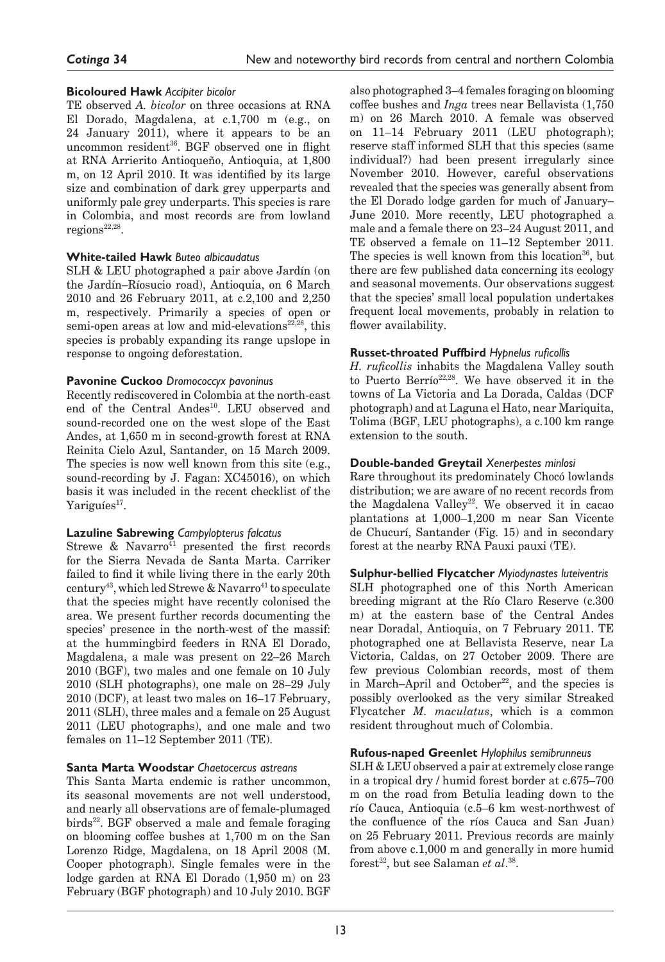# *Cotinga* **34**

# **Bicoloured Hawk** *Accipiter bicolor*

TE observed *A. bicolor* on three occasions at RNA El Dorado, Magdalena, at c.1,700 m (e.g., on 24 January 2011), where it appears to be an uncommon resident<sup>36</sup>. BGF observed one in flight at RNA Arrierito Antioqueño, Antioquia, at 1,800 m, on 12 April 2010. It was identified by its large size and combination of dark grey upperparts and uniformly pale grey underparts. This species is rare in Colombia, and most records are from lowland  $regions^{22,28}.$ 

# **White-tailed Hawk** *Buteo albicaudatus*

SLH & LEU photographed a pair above Jardín (on the Jardín–Ríosucio road), Antioquia, on 6 March 2010 and 26 February 2011, at c.2,100 and 2,250 m, respectively. Primarily a species of open or semi-open areas at low and mid-elevations<sup>22,28</sup>, this species is probably expanding its range upslope in response to ongoing deforestation.

# **Pavonine Cuckoo** *Dromococcyx pavoninus*

Recently rediscovered in Colombia at the north-east end of the Central Andes<sup>10</sup>. LEU observed and sound-recorded one on the west slope of the East Andes, at 1,650 m in second-growth forest at RNA Reinita Cielo Azul, Santander, on 15 March 2009. The species is now well known from this site (e.g., sound-recording by J. Fagan: XC45016), on which basis it was included in the recent checklist of the Yariguíes<sup>17</sup>.

# **Lazuline Sabrewing** *Campylopterus falcatus*

Strewe & Navarro $4$ <sup>1</sup> presented the first records for the Sierra Nevada de Santa Marta. Carriker failed to find it while living there in the early 20th century<sup>43</sup>, which led Strewe & Navarro<sup>41</sup> to speculate that the species might have recently colonised the area. We present further records documenting the species' presence in the north-west of the massif: at the hummingbird feeders in RNA El Dorado, Magdalena, a male was present on 22–26 March 2010 (BGF), two males and one female on 10 July 2010 (SLH photographs), one male on 28–29 July 2010 (DCF), at least two males on 16–17 February, 2011 (SLH), three males and a female on 25 August 2011 (LEU photographs), and one male and two females on 11–12 September 2011 (TE).

# **Santa Marta Woodstar** *Chaetocercus astreans*

This Santa Marta endemic is rather uncommon, its seasonal movements are not well understood, and nearly all observations are of female-plumaged  $birds<sup>22</sup>$ . BGF observed a male and female foraging on blooming coffee bushes at 1,700 m on the San Lorenzo Ridge, Magdalena, on 18 April 2008 (M. Cooper photograph). Single females were in the lodge garden at RNA El Dorado (1,950 m) on 23 February (BGF photograph) and 10 July 2010. BGF

also photographed 3–4 females foraging on blooming coffee bushes and *Inga* trees near Bellavista (1,750 m) on 26 March 2010. A female was observed on 11–14 February 2011 (LEU photograph); reserve staff informed SLH that this species (same individual?) had been present irregularly since November 2010. However, careful observations revealed that the species was generally absent from the El Dorado lodge garden for much of January– June 2010. More recently, LEU photographed a male and a female there on 23–24 August 2011, and TE observed a female on 11–12 September 2011. The species is well known from this location $36$ , but there are few published data concerning its ecology and seasonal movements. Our observations suggest that the species' small local population undertakes frequent local movements, probably in relation to flower availability.

# **Russet-throated Puffbird** *Hypnelus ruficollis*

*H. ruficollis* inhabits the Magdalena Valley south to Puerto Berrío<sup>22,28</sup>. We have observed it in the towns of La Victoria and La Dorada, Caldas (DCF photograph) and at Laguna el Hato, near Mariquita, Tolima (BGF, LEU photographs), a c.100 km range extension to the south.

# **Double-banded Greytail** *Xenerpestes minlosi*

Rare throughout its predominately Chocó lowlands distribution; we are aware of no recent records from the Magdalena Valley<sup>22</sup>. We observed it in cacao plantations at 1,000–1,200 m near San Vicente de Chucurí, Santander (Fig. 15) and in secondary forest at the nearby RNA Pauxi pauxi (TE).

# **Sulphur-bellied Flycatcher** *Myiodynastes luteiventris*

SLH photographed one of this North American breeding migrant at the Río Claro Reserve (c.300 m) at the eastern base of the Central Andes near Doradal, Antioquia, on 7 February 2011. TE photographed one at Bellavista Reserve, near La Victoria, Caldas, on 27 October 2009. There are few previous Colombian records, most of them in March–April and October $22$ , and the species is possibly overlooked as the very similar Streaked Flycatcher *M. maculatus*, which is a common resident throughout much of Colombia.

# **Rufous-naped Greenlet** *Hylophilus semibrunneus*

SLH & LEU observed a pair at extremely close range in a tropical dry / humid forest border at c.675–700 m on the road from Betulia leading down to the río Cauca, Antioquia (c.5–6 km west-northwest of the confluence of the ríos Cauca and San Juan) on 25 February 2011. Previous records are mainly from above c.1,000 m and generally in more humid forest<sup>22</sup>, but see Salaman *et al*.<sup>38</sup>.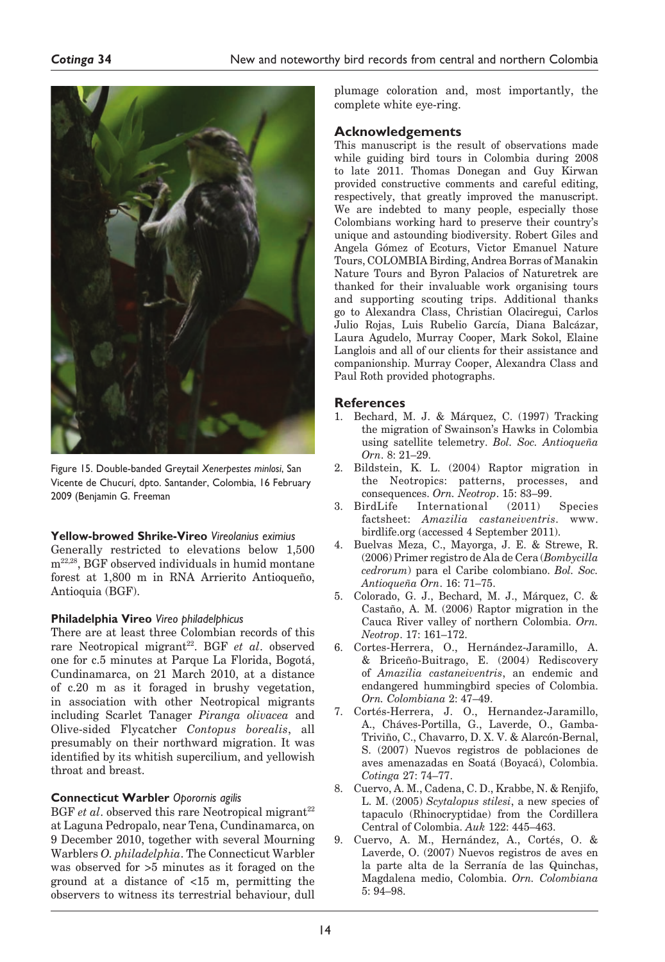

Figure 15. Double-banded Greytail *Xenerpestes minlosi*, San Vicente de Chucurí, dpto. Santander, Colombia, 16 February 2009 (Benjamin G. Freeman

# **Yellow-browed Shrike-Vireo** *Vireolanius eximius*

Generally restricted to elevations below 1,500  $\mathrm{m}^{22,28},$  BGF observed individuals in humid montane forest at 1,800 m in RNA Arrierito Antioqueño, Antioquia (BGF).

# **Philadelphia Vireo** *Vireo philadelphicus*

There are at least three Colombian records of this rare Neotropical migrant<sup>22</sup>. BGF *et al.* observed one for c.5 minutes at Parque La Florida, Bogotá, Cundinamarca, on 21 March 2010, at a distance of c.20 m as it foraged in brushy vegetation, in association with other Neotropical migrants including Scarlet Tanager *Piranga olivacea* and Olive-sided Flycatcher *Contopus borealis*, all presumably on their northward migration. It was identified by its whitish supercilium, and yellowish throat and breast.

# **Connecticut Warbler** *Oporornis agilis*

BGF *et al.* observed this rare Neotropical migrant<sup>22</sup> at Laguna Pedropalo, near Tena, Cundinamarca, on 9 December 2010, together with several Mourning Warblers *O. philadelphia*. The Connecticut Warbler was observed for >5 minutes as it foraged on the ground at a distance of <15 m, permitting the observers to witness its terrestrial behaviour, dull

plumage coloration and, most importantly, the complete white eye-ring.

# **Acknowledgements**

This manuscript is the result of observations made while guiding bird tours in Colombia during 2008 to late 2011. Thomas Donegan and Guy Kirwan provided constructive comments and careful editing, respectively, that greatly improved the manuscript. We are indebted to many people, especially those Colombians working hard to preserve their country's unique and astounding biodiversity. Robert Giles and Angela Gómez of Ecoturs, Victor Emanuel Nature Tours, COLOMBIA Birding, Andrea Borras of Manakin Nature Tours and Byron Palacios of Naturetrek are thanked for their invaluable work organising tours and supporting scouting trips. Additional thanks go to Alexandra Class, Christian Olaciregui, Carlos Julio Rojas, Luis Rubelio García, Diana Balcázar, Laura Agudelo, Murray Cooper, Mark Sokol, Elaine Langlois and all of our clients for their assistance and companionship. Murray Cooper, Alexandra Class and Paul Roth provided photographs.

# **References**

- 1. Bechard, M. J. & Márquez, C. (1997) Tracking the migration of Swainson's Hawks in Colombia using satellite telemetry. *Bol. Soc. Antioqueña Orn*. 8: 21–29.
- 2. Bildstein, K. L. (2004) Raptor migration in the Neotropics: patterns, processes, and consequences. *Orn. Neotrop*. 15: 83–99.
- 3. BirdLife International (2011) Species factsheet: *Amazilia castaneiventris*. www. birdlife.org (accessed 4 September 2011).
- 4. Buelvas Meza, C., Mayorga, J. E. & Strewe, R. (2006) Primer registro de Ala de Cera (*Bombycilla cedrorum*) para el Caribe colombiano. *Bol. Soc. Antioqueña Orn*. 16: 71–75.
- 5. Colorado, G. J., Bechard, M. J., Márquez, C. & Castaño, A. M. (2006) Raptor migration in the Cauca River valley of northern Colombia. *Orn. Neotrop*. 17: 161–172.
- 6. Cortes-Herrera, O., Hernández-Jaramillo, A. & Briceño-Buitrago, E. (2004) Rediscovery of *Amazilia castaneiventris*, an endemic and endangered hummingbird species of Colombia. *Orn. Colombiana* 2: 47–49.
- 7. Cortés-Herrera, J. O., Hernandez-Jaramillo, A., Cháves-Portilla, G., Laverde, O., Gamba-Triviño, C., Chavarro, D. X. V. & Alarcón-Bernal, S. (2007) Nuevos registros de poblaciones de aves amenazadas en Soatá (Boyacá), Colombia. *Cotinga* 27: 74–77.
- 8. Cuervo, A. M., Cadena, C. D., Krabbe, N. & Renjifo, L. M. (2005) *Scytalopus stilesi*, a new species of tapaculo (Rhinocryptidae) from the Cordillera Central of Colombia. *Auk* 122: 445–463.
- 9. Cuervo, A. M., Hernández, A., Cortés, O. & Laverde, O. (2007) Nuevos registros de aves en la parte alta de la Serranía de las Quinchas, Magdalena medio, Colombia. *Orn. Colombiana* 5: 94–98.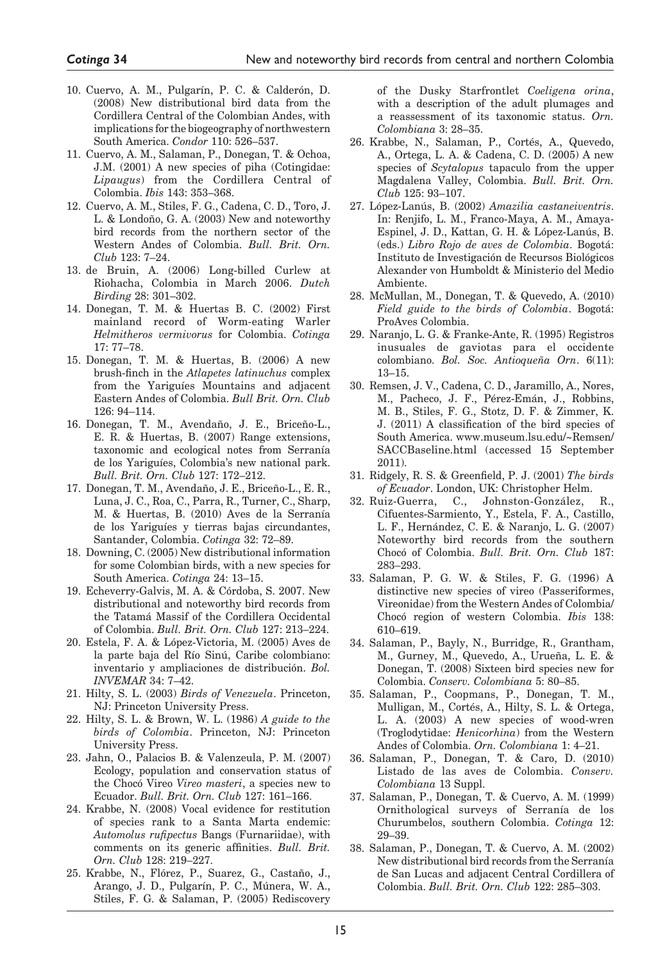- 10. Cuervo, A. M., Pulgarín, P. C. & Calderón, D. (2008) New distributional bird data from the Cordillera Central of the Colombian Andes, with implications for the biogeography of northwestern South America. *Condor* 110: 526–537.
- 11. Cuervo, A. M., Salaman, P., Donegan, T. & Ochoa, J.M. (2001) A new species of piha (Cotingidae: *Lipaugus*) from the Cordillera Central of Colombia. *Ibis* 143: 353–368.
- 12. Cuervo, A. M., Stiles, F. G., Cadena, C. D., Toro, J. L. & Londoño, G. A. (2003) New and noteworthy bird records from the northern sector of the Western Andes of Colombia. *Bull. Brit. Orn. Club* 123: 7–24.
- 13. de Bruin, A. (2006) Long-billed Curlew at Riohacha, Colombia in March 2006. *Dutch Birding* 28: 301–302.
- 14. Donegan, T. M. & Huertas B. C. (2002) First mainland record of Worm-eating Warler *Helmitheros vermivorus* for Colombia. *Cotinga* 17: 77–78.
- 15. Donegan, T. M. & Huertas, B. (2006) A new brush-finch in the *Atlapetes latinuchus* complex from the Yariguíes Mountains and adjacent Eastern Andes of Colombia. *Bull Brit. Orn. Club* 126: 94–114.
- 16. Donegan, T. M., Avendaño, J. E., Briceño-L., E. R. & Huertas, B. (2007) Range extensions, taxonomic and ecological notes from Serranía de los Yariguíes, Colombia's new national park. *Bull. Brit. Orn. Club* 127: 172–212.
- 17. Donegan, T. M., Avendaño, J. E., Briceño-L., E. R., Luna, J. C., Roa, C., Parra, R., Turner, C., Sharp, M. & Huertas, B. (2010) Aves de la Serranía de los Yariguíes y tierras bajas circundantes, Santander, Colombia. *Cotinga* 32: 72–89.
- 18. Downing, C. (2005) New distributional information for some Colombian birds, with a new species for South America. *Cotinga* 24: 13–15.
- 19. Echeverry-Galvis, M. A. & Córdoba, S. 2007. New distributional and noteworthy bird records from the Tatamá Massif of the Cordillera Occidental of Colombia. *Bull. Brit. Orn. Club* 127: 213–224.
- 20. Estela, F. A. & López-Victoria, M. (2005) Aves de la parte baja del Río Sinú, Caribe colombiano: inventario y ampliaciones de distribución. *Bol. INVEMAR* 34: 7–42.
- 21. Hilty, S. L. (2003) *Birds of Venezuela*. Princeton, NJ: Princeton University Press.
- 22. Hilty, S. L. & Brown, W. L. (1986) *A guide to the birds of Colombia*. Princeton, NJ: Princeton University Press.
- 23. Jahn, O., Palacios B. & Valenzeula, P. M. (2007) Ecology, population and conservation status of the Chocó Vireo *Vireo masteri*, a species new to Ecuador. *Bull. Brit. Orn. Club* 127: 161–166.
- 24. Krabbe, N. (2008) Vocal evidence for restitution of species rank to a Santa Marta endemic: *Automolus rufipectus* Bangs (Furnariidae), with comments on its generic affinities. *Bull. Brit. Orn. Club* 128: 219–227.
- 25. Krabbe, N., Flórez, P., Suarez, G., Castaño, J., Arango, J. D., Pulgarín, P. C., Múnera, W. A., Stiles, F. G. & Salaman, P. (2005) Rediscovery

of the Dusky Starfrontlet *Coeligena orina*, with a description of the adult plumages and a reassessment of its taxonomic status. *Orn. Colombiana* 3: 28–35.

- 26. Krabbe, N., Salaman, P., Cortés, A., Quevedo, A., Ortega, L. A. & Cadena, C. D. (2005) A new species of *Scytalopus* tapaculo from the upper Magdalena Valley, Colombia. *Bull. Brit. Orn. Club* 125: 93–107.
- 27. López-Lanús, B. (2002) *Amazilia castaneiventris*. In: Renjifo, L. M., Franco-Maya, A. M., Amaya-Espinel, J. D., Kattan, G. H. & López-Lanús, B. (eds.) *Libro Rojo de aves de Colombia*. Bogotá: Instituto de Investigación de Recursos Biológicos Alexander von Humboldt & Ministerio del Medio Ambiente.
- 28. McMullan, M., Donegan, T. & Quevedo, A. (2010) *Field guide to the birds of Colombia*. Bogotá: ProAves Colombia.
- 29. Naranjo, L. G. & Franke-Ante, R. (1995) Registros inusuales de gaviotas para el occidente colombiano. *Bol. Soc. Antioqueña Orn*. 6(11): 13–15.
- 30. Remsen, J. V., Cadena, C. D., Jaramillo, A., Nores, M., Pacheco, J. F., Pérez-Emán, J., Robbins, M. B., Stiles, F. G., Stotz, D. F. & Zimmer, K. J. (2011) A classification of the bird species of South America. www.museum.lsu.edu/~Remsen/ SACCBaseline.html (accessed 15 September 2011).
- 31. Ridgely, R. S. & Greenfield, P. J. (2001) *The birds of Ecuador*. London, UK: Christopher Helm.
- 32. Ruiz-Guerra, C., Johnston-González, R., Cifuentes-Sarmiento, Y., Estela, F. A., Castillo, L. F., Hernández, C. E. & Naranjo, L. G. (2007) Noteworthy bird records from the southern Chocó of Colombia. *Bull. Brit. Orn. Club* 187: 283–293.
- 33. Salaman, P. G. W. & Stiles, F. G. (1996) A distinctive new species of vireo (Passeriformes, Vireonidae) from the Western Andes of Colombia/ Chocó region of western Colombia. *Ibis* 138: 610–619.
- 34. Salaman, P., Bayly, N., Burridge, R., Grantham, M., Gurney, M., Quevedo, A., Urueña, L. E. & Donegan, T. (2008) Sixteen bird species new for Colombia. *Conserv. Colombiana* 5: 80–85.
- 35. Salaman, P., Coopmans, P., Donegan, T. M., Mulligan, M., Cortés, A., Hilty, S. L. & Ortega, L. A. (2003) A new species of wood-wren (Troglodytidae: *Henicorhina*) from the Western Andes of Colombia. *Orn. Colombiana* 1: 4–21.
- 36. Salaman, P., Donegan, T. & Caro, D. (2010) Listado de las aves de Colombia. *Conserv. Colombiana* 13 Suppl.
- 37. Salaman, P., Donegan, T. & Cuervo, A. M. (1999) Ornithological surveys of Serranía de los Churumbelos, southern Colombia. *Cotinga* 12: 29–39.
- 38. Salaman, P., Donegan, T. & Cuervo, A. M. (2002) New distributional bird records from the Serranía de San Lucas and adjacent Central Cordillera of Colombia. *Bull. Brit. Orn. Club* 122: 285–303.